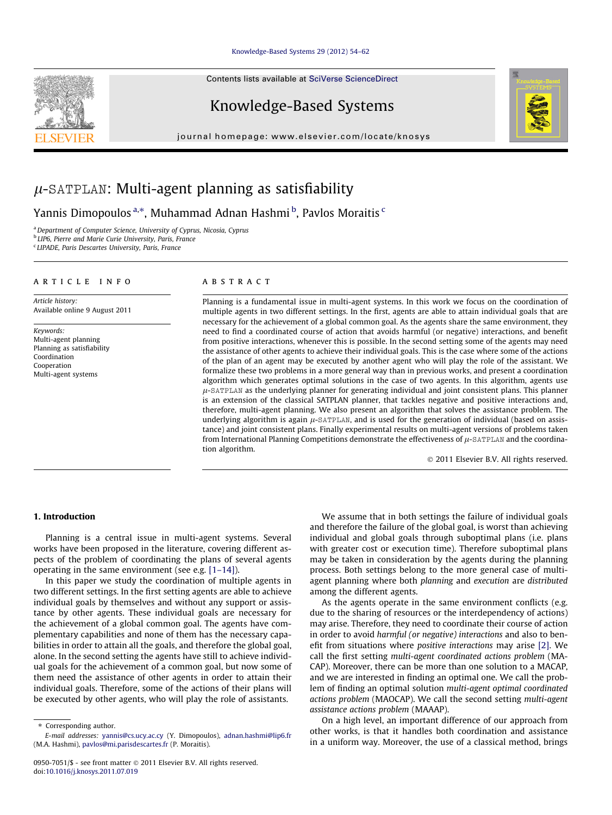#### [Knowledge-Based Systems 29 \(2012\) 54–62](http://dx.doi.org/10.1016/j.knosys.2011.07.019)

Contents lists available at [SciVerse ScienceDirect](http://www.sciencedirect.com/science/journal/09507051)

# Knowledge-Based Systems

journal homepage: [www.elsevier.com/locate/knosys](http://www.elsevier.com/locate/knosys)



## $\mu$ -SATPLAN: Multi-agent planning as satisfiability

Yannis Dimopoulos <sup>a,</sup>\*, Muhammad Adnan Hashmi <sup>b</sup>, Pavlos Moraitis <sup>c</sup>

<sup>a</sup> Department of Computer Science, University of Cyprus, Nicosia, Cyprus

**b LIP6, Pierre and Marie Curie University, Paris, France** 

<sup>c</sup> LIPADE, Paris Descartes University, Paris, France

## ARTICLE INFO

Article history: Available online 9 August 2011

Keywords: Multi-agent planning Planning as satisfiability Coordination Cooperation Multi-agent systems

## ABSTRACT

Planning is a fundamental issue in multi-agent systems. In this work we focus on the coordination of multiple agents in two different settings. In the first, agents are able to attain individual goals that are necessary for the achievement of a global common goal. As the agents share the same environment, they need to find a coordinated course of action that avoids harmful (or negative) interactions, and benefit from positive interactions, whenever this is possible. In the second setting some of the agents may need the assistance of other agents to achieve their individual goals. This is the case where some of the actions of the plan of an agent may be executed by another agent who will play the role of the assistant. We formalize these two problems in a more general way than in previous works, and present a coordination algorithm which generates optimal solutions in the case of two agents. In this algorithm, agents use  $\mu$ -SATPLAN as the underlying planner for generating individual and joint consistent plans. This planner is an extension of the classical SATPLAN planner, that tackles negative and positive interactions and, therefore, multi-agent planning. We also present an algorithm that solves the assistance problem. The underlying algorithm is again  $\mu$ -SATPLAN, and is used for the generation of individual (based on assistance) and joint consistent plans. Finally experimental results on multi-agent versions of problems taken from International Planning Competitions demonstrate the effectiveness of  $\mu$ -SATPLAN and the coordination algorithm.

- 2011 Elsevier B.V. All rights reserved.

## 1. Introduction

Planning is a central issue in multi-agent systems. Several works have been proposed in the literature, covering different aspects of the problem of coordinating the plans of several agents operating in the same environment (see e.g. [\[1–14\]](#page-7-0)).

In this paper we study the coordination of multiple agents in two different settings. In the first setting agents are able to achieve individual goals by themselves and without any support or assistance by other agents. These individual goals are necessary for the achievement of a global common goal. The agents have complementary capabilities and none of them has the necessary capabilities in order to attain all the goals, and therefore the global goal, alone. In the second setting the agents have still to achieve individual goals for the achievement of a common goal, but now some of them need the assistance of other agents in order to attain their individual goals. Therefore, some of the actions of their plans will be executed by other agents, who will play the role of assistants.

⇑ Corresponding author.

We assume that in both settings the failure of individual goals and therefore the failure of the global goal, is worst than achieving individual and global goals through suboptimal plans (i.e. plans with greater cost or execution time). Therefore suboptimal plans may be taken in consideration by the agents during the planning process. Both settings belong to the more general case of multiagent planning where both planning and execution are distributed among the different agents.

As the agents operate in the same environment conflicts (e.g. due to the sharing of resources or the interdependency of actions) may arise. Therefore, they need to coordinate their course of action in order to avoid harmful (or negative) interactions and also to benefit from situations where positive interactions may arise [\[2\].](#page-7-0) We call the first setting multi-agent coordinated actions problem (MA-CAP). Moreover, there can be more than one solution to a MACAP, and we are interested in finding an optimal one. We call the problem of finding an optimal solution multi-agent optimal coordinated actions problem (MAOCAP). We call the second setting multi-agent assistance actions problem (MAAAP).

On a high level, an important difference of our approach from other works, is that it handles both coordination and assistance in a uniform way. Moreover, the use of a classical method, brings



E-mail addresses: [yannis@cs.ucy.ac.cy](mailto:yannis@cs.ucy.ac.cy) (Y. Dimopoulos), [adnan.hashmi@lip6.fr](mailto:adnan.hashmi@lip6.fr) (M.A. Hashmi), [pavlos@mi.parisdescartes.fr](mailto:pavlos@mi.parisdescartes.fr) (P. Moraitis).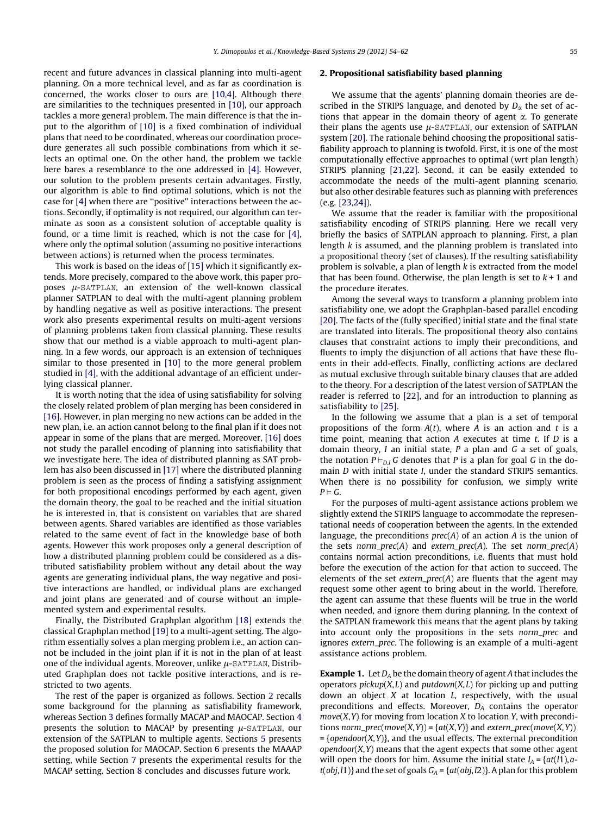<span id="page-1-0"></span>recent and future advances in classical planning into multi-agent planning. On a more technical level, and as far as coordination is concerned, the works closer to ours are [\[10,4\].](#page-7-0) Although there are similarities to the techniques presented in [\[10\]](#page-7-0), our approach tackles a more general problem. The main difference is that the input to the algorithm of [\[10\]](#page-7-0) is a fixed combination of individual plans that need to be coordinated, whereas our coordination procedure generates all such possible combinations from which it selects an optimal one. On the other hand, the problem we tackle here bares a resemblance to the one addressed in [\[4\]](#page-7-0). However, our solution to the problem presents certain advantages. Firstly, our algorithm is able to find optimal solutions, which is not the case for [\[4\]](#page-7-0) when there are ''positive'' interactions between the actions. Secondly, if optimality is not required, our algorithm can terminate as soon as a consistent solution of acceptable quality is found, or a time limit is reached, which is not the case for [\[4\],](#page-7-0) where only the optimal solution (assuming no positive interactions between actions) is returned when the process terminates.

This work is based on the ideas of [\[15\]](#page-7-0) which it significantly extends. More precisely, compared to the above work, this paper proposes  $\mu$ -SATPLAN, an extension of the well-known classical planner SATPLAN to deal with the multi-agent planning problem by handling negative as well as positive interactions. The present work also presents experimental results on multi-agent versions of planning problems taken from classical planning. These results show that our method is a viable approach to multi-agent planning. In a few words, our approach is an extension of techniques similar to those presented in [\[10\]](#page-7-0) to the more general problem studied in [\[4\]](#page-7-0), with the additional advantage of an efficient underlying classical planner.

It is worth noting that the idea of using satisfiability for solving the closely related problem of plan merging has been considered in [\[16\].](#page-7-0) However, in plan merging no new actions can be added in the new plan, i.e. an action cannot belong to the final plan if it does not appear in some of the plans that are merged. Moreover, [\[16\]](#page-7-0) does not study the parallel encoding of planning into satisfiability that we investigate here. The idea of distributed planning as SAT problem has also been discussed in [\[17\]](#page-7-0) where the distributed planning problem is seen as the process of finding a satisfying assignment for both propositional encodings performed by each agent, given the domain theory, the goal to be reached and the initial situation he is interested in, that is consistent on variables that are shared between agents. Shared variables are identified as those variables related to the same event of fact in the knowledge base of both agents. However this work proposes only a general description of how a distributed planning problem could be considered as a distributed satisfiability problem without any detail about the way agents are generating individual plans, the way negative and positive interactions are handled, or individual plans are exchanged and joint plans are generated and of course without an implemented system and experimental results.

Finally, the Distributed Graphplan algorithm [\[18\]](#page-7-0) extends the classical Graphplan method [\[19\]](#page-8-0) to a multi-agent setting. The algorithm essentially solves a plan merging problem i.e., an action cannot be included in the joint plan if it is not in the plan of at least one of the individual agents. Moreover, unlike  $\mu$ -SATPLAN, Distributed Graphplan does not tackle positive interactions, and is restricted to two agents.

The rest of the paper is organized as follows. Section 2 recalls some background for the planning as satisfiability framework, whereas Section [3](#page-2-0) defines formally MACAP and MAOCAP. Section [4](#page-2-0) presents the solution to MACAP by presenting  $\mu$ -SATPLAN, our extension of the SATPLAN to multiple agents. Sections [5](#page-4-0) presents the proposed solution for MAOCAP. Section [6](#page-5-0) presents the MAAAP setting, while Section [7](#page-6-0) presents the experimental results for the MACAP setting. Section [8](#page-7-0) concludes and discusses future work.

## 2. Propositional satisfiability based planning

We assume that the agents' planning domain theories are described in the STRIPS language, and denoted by  $D_{\alpha}$  the set of actions that appear in the domain theory of agent  $\alpha$ . To generate their plans the agents use  $\mu$ -SATPLAN, our extension of SATPLAN system [\[20\].](#page-8-0) The rationale behind choosing the propositional satisfiability approach to planning is twofold. First, it is one of the most computationally effective approaches to optimal (wrt plan length) STRIPS planning [\[21,22\]](#page-8-0). Second, it can be easily extended to accommodate the needs of the multi-agent planning scenario, but also other desirable features such as planning with preferences (e.g. [\[23,24\]\)](#page-8-0).

We assume that the reader is familiar with the propositional satisfiability encoding of STRIPS planning. Here we recall very briefly the basics of SATPLAN approach to planning. First, a plan length  $k$  is assumed, and the planning problem is translated into a propositional theory (set of clauses). If the resulting satisfiability problem is solvable, a plan of length k is extracted from the model that has been found. Otherwise, the plan length is set to  $k + 1$  and the procedure iterates.

Among the several ways to transform a planning problem into satisfiability one, we adopt the Graphplan-based parallel encoding [\[20\].](#page-8-0) The facts of the (fully specified) initial state and the final state are translated into literals. The propositional theory also contains clauses that constraint actions to imply their preconditions, and fluents to imply the disjunction of all actions that have these fluents in their add-effects. Finally, conflicting actions are declared as mutual exclusive through suitable binary clauses that are added to the theory. For a description of the latest version of SATPLAN the reader is referred to [\[22\]](#page-8-0), and for an introduction to planning as satisfiability to [\[25\]](#page-8-0).

In the following we assume that a plan is a set of temporal propositions of the form  $A(t)$ , where A is an action and t is a time point, meaning that action A executes at time t. If D is a domain theory,  $I$  an initial state,  $P$  a plan and  $G$  a set of goals, the notation  $P \vDash_{D,I} G$  denotes that P is a plan for goal G in the domain D with initial state I, under the standard STRIPS semantics. When there is no possibility for confusion, we simply write  $P \vDash G$ .

For the purposes of multi-agent assistance actions problem we slightly extend the STRIPS language to accommodate the representational needs of cooperation between the agents. In the extended language, the preconditions  $prec(A)$  of an action A is the union of the sets norm\_prec(A) and extern\_prec(A). The set norm\_prec(A) contains normal action preconditions, i.e. fluents that must hold before the execution of the action for that action to succeed. The elements of the set extern\_prec( $A$ ) are fluents that the agent may request some other agent to bring about in the world. Therefore, the agent can assume that these fluents will be true in the world when needed, and ignore them during planning. In the context of the SATPLAN framework this means that the agent plans by taking into account only the propositions in the sets norm\_prec and ignores extern\_prec. The following is an example of a multi-agent assistance actions problem.

**Example 1.** Let  $D_A$  be the domain theory of agent A that includes the operators *pickup* $(X, L)$  and *putdown* $(X, L)$  for picking up and putting down an object  $X$  at location  $L$ , respectively, with the usual preconditions and effects. Moreover,  $D_A$  contains the operator  $move(X, Y)$  for moving from location  $X$  to location  $Y$ , with preconditions norm\_prec(move(X,Y)) = { $at(X, Y)$ } and extern\_prec(move(X,Y))  $=$  {*opendoor*(*X,Y*)}, and the usual effects. The external precondition  $o$ pendoor $(X, Y)$  means that the agent expects that some other agent will open the doors for him. Assume the initial state  $I_A = \{at(1), a$  $t(obj, 11)$ } and the set of goals  $G_A = \{at(obj, 12)\}$ . A plan for this problem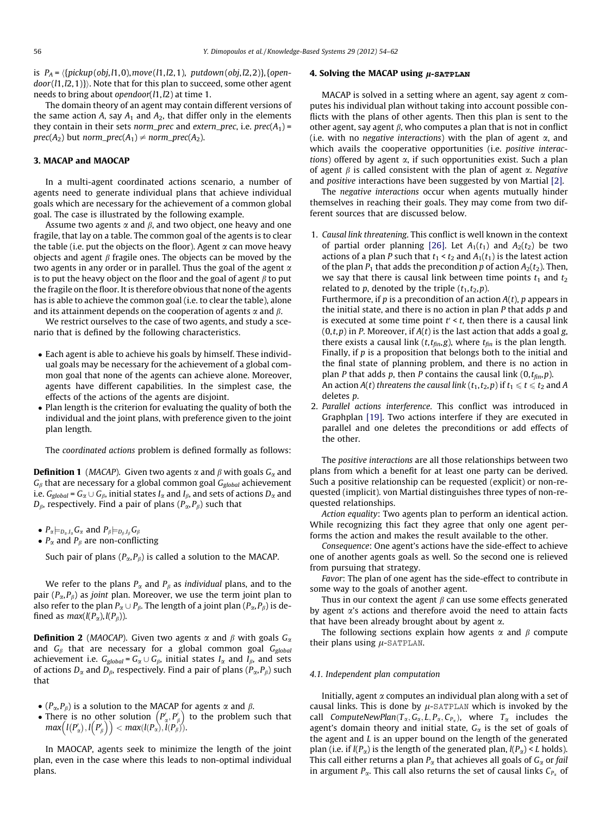<span id="page-2-0"></span>is  $P_A = \{\{pickup(obj, l1, 0), move(l1, l2, 1), putdown(obj, l2, 2)\}\$ , {open $door(11, 12, 1)$ . Note that for this plan to succeed, some other agent needs to bring about opendoor(l1,l2) at time 1.

The domain theory of an agent may contain different versions of the same action A, say  $A_1$  and  $A_2$ , that differ only in the elements they contain in their sets norm\_prec and extern\_prec, i.e.  $prec(A_1)$  =  $prec(A_2)$  but norm\_prec( $A_1$ )  $\neq$  norm\_prec( $A_2$ ).

## 3. MACAP and MAOCAP

In a multi-agent coordinated actions scenario, a number of agents need to generate individual plans that achieve individual goals which are necessary for the achievement of a common global goal. The case is illustrated by the following example.

Assume two agents  $\alpha$  and  $\beta$ , and two object, one heavy and one fragile, that lay on a table. The common goal of the agents is to clear the table (i.e. put the objects on the floor). Agent  $\alpha$  can move heavy objects and agent  $\beta$  fragile ones. The objects can be moved by the two agents in any order or in parallel. Thus the goal of the agent  $\alpha$ is to put the heavy object on the floor and the goal of agent  $\beta$  to put the fragile on the floor. It is therefore obvious that none of the agents has is able to achieve the common goal (i.e. to clear the table), alone and its attainment depends on the cooperation of agents  $\alpha$  and  $\beta$ .

We restrict ourselves to the case of two agents, and study a scenario that is defined by the following characteristics.

- Each agent is able to achieve his goals by himself. These individual goals may be necessary for the achievement of a global common goal that none of the agents can achieve alone. Moreover, agents have different capabilities. In the simplest case, the effects of the actions of the agents are disjoint.
- Plan length is the criterion for evaluating the quality of both the individual and the joint plans, with preference given to the joint plan length.

The coordinated actions problem is defined formally as follows:

**Definition 1** (*MACAP*). Given two agents  $\alpha$  and  $\beta$  with goals  $G_{\alpha}$  and  $G_\beta$  that are necessary for a global common goal  $G_{global}$  achievement i.e.  $G_{global} = G_{\alpha} \cup G_{\beta}$ , initial states  $I_{\alpha}$  and  $I_{\beta}$ , and sets of actions  $D_{\alpha}$  and  $D_{\beta}$ , respectively. Find a pair of plans ( $P_{\alpha}$ ,  $P_{\beta}$ ) such that

 $\bullet$   $P_{\alpha}\!\models_{D_{\alpha},I_{\alpha}}\! G_{\alpha}$  and  $P_{\beta}\!\models_{D_{\beta},I_{\beta}}\! G_{\beta}$ 

•  $P_\alpha$  and  $P_\beta$  are non-conflicting

Such pair of plans ( $P_{\alpha}$ , $P_{\beta}$ ) is called a solution to the MACAP.

We refer to the plans  $P_\alpha$  and  $P_\beta$  as *individual* plans, and to the pair ( $P_{\alpha}, P_{\beta}$ ) as *joint* plan. Moreover, we use the term joint plan to also refer to the plan  $P_{\alpha} \cup P_{\beta}$ . The length of a joint plan ( $P_{\alpha},P_{\beta}$ ) is defined as  $max(l(P_\alpha), l(P_\beta))$ .

**Definition 2** (MAOCAP). Given two agents  $\alpha$  and  $\beta$  with goals  $G_{\alpha}$ and  $G_{\beta}$  that are necessary for a global common goal  $G_{global}$ achievement i.e.  $G_{global} = G_{\alpha} \cup G_{\beta}$ , initial states  $I_{\alpha}$  and  $I_{\beta}$ , and sets of actions  $D_{\alpha}$  and  $D_{\beta}$ , respectively. Find a pair of plans ( $P_{\alpha}$ ,  $P_{\beta}$ ) such that

- $(P_{\alpha}, P_{\beta})$  is a solution to the MACAP for agents  $\alpha$  and  $\beta$ .
- $(r_{\alpha}, P_{\beta})$  is a solution to the MACAP for agents  $\alpha$  and  $\beta$ .<br>
 There is no other solution  $(P_{\alpha}, P_{\beta})$  to the problem such that max  $(l(P'_\alpha), l(P'_\beta))$  < max $(l(P_\alpha), l(P_\beta))$ .

In MAOCAP, agents seek to minimize the length of the joint plan, even in the case where this leads to non-optimal individual plans.

## 4. Solving the MACAP using  $\mu$ -SATPLAN

MACAP is solved in a setting where an agent, say agent  $\alpha$  computes his individual plan without taking into account possible conflicts with the plans of other agents. Then this plan is sent to the other agent, say agent  $\beta$ , who computes a plan that is not in conflict (i.e. with no negative interactions) with the plan of agent  $\alpha$ , and which avails the cooperative opportunities (i.e. positive interactions) offered by agent  $\alpha$ , if such opportunities exist. Such a plan of agent  $\beta$  is called consistent with the plan of agent  $\alpha$ . Negative and positive interactions have been suggested by von Martial [\[2\]](#page-7-0).

The negative interactions occur when agents mutually hinder themselves in reaching their goals. They may come from two different sources that are discussed below.

1. Causal link threatening. This conflict is well known in the context of partial order planning [\[26\].](#page-8-0) Let  $A_1(t_1)$  and  $A_2(t_2)$  be two actions of a plan P such that  $t_1 < t_2$  and  $A_1(t_1)$  is the latest action of the plan  $P_1$  that adds the precondition p of action  $A_2(t_2)$ . Then, we say that there is causal link between time points  $t_1$  and  $t_2$ related to p, denoted by the triple  $(t_1,t_2,p)$ .

Furthermore, if  $p$  is a precondition of an action  $A(t)$ ,  $p$  appears in the initial state, and there is no action in plan  $P$  that adds  $p$  and is executed at some time point  $t' < t$ , then there is a causal link  $(0,t,p)$  in P. Moreover, if  $A(t)$  is the last action that adds a goal g, there exists a causal link ( $t, t_{fin}, g$ ), where  $t_{fin}$  is the plan length. Finally, if  $p$  is a proposition that belongs both to the initial and the final state of planning problem, and there is no action in plan P that adds p, then P contains the causal link  $(0,t_{fin},p)$ . An action  $A(t)$  threatens the causal link  $(t_1,t_2,p)$  if  $t_1 \le t \le t_2$  and A

deletes p.

2. Parallel actions interference. This conflict was introduced in Graphplan [\[19\]](#page-8-0). Two actions interfere if they are executed in parallel and one deletes the preconditions or add effects of the other.

The positive interactions are all those relationships between two plans from which a benefit for at least one party can be derived. Such a positive relationship can be requested (explicit) or non-requested (implicit). von Martial distinguishes three types of non-requested relationships.

Action equality: Two agents plan to perform an identical action. While recognizing this fact they agree that only one agent performs the action and makes the result available to the other.

Consequence: One agent's actions have the side-effect to achieve one of another agents goals as well. So the second one is relieved from pursuing that strategy.

Favor: The plan of one agent has the side-effect to contribute in some way to the goals of another agent.

Thus in our context the agent  $\beta$  can use some effects generated by agent  $\alpha$ 's actions and therefore avoid the need to attain facts that have been already brought about by agent  $\alpha$ .

The following sections explain how agents  $\alpha$  and  $\beta$  compute their plans using  $\mu$ -SATPLAN.

#### 4.1. Independent plan computation

Initially, agent  $\alpha$  computes an individual plan along with a set of causal links. This is done by  $\mu$ -SATPLAN which is invoked by the call ComputeNewPlan( $T_\alpha$ ,  $G_\alpha$ ,  $L$ ,  $P_\alpha$ ,  $C_{P_\alpha}$ ), where  $T_\alpha$  includes the agent's domain theory and initial state,  $G_{\alpha}$  is the set of goals of the agent and  $L$  is an upper bound on the length of the generated plan (i.e. if  $I(P_\alpha)$  is the length of the generated plan,  $I(P_\alpha) < L$  holds). This call either returns a plan  $P_\alpha$  that achieves all goals of  $G_\alpha$  or fail in argument  $P_{\alpha}$ . This call also returns the set of causal links  $C_{P_{\alpha}}$  of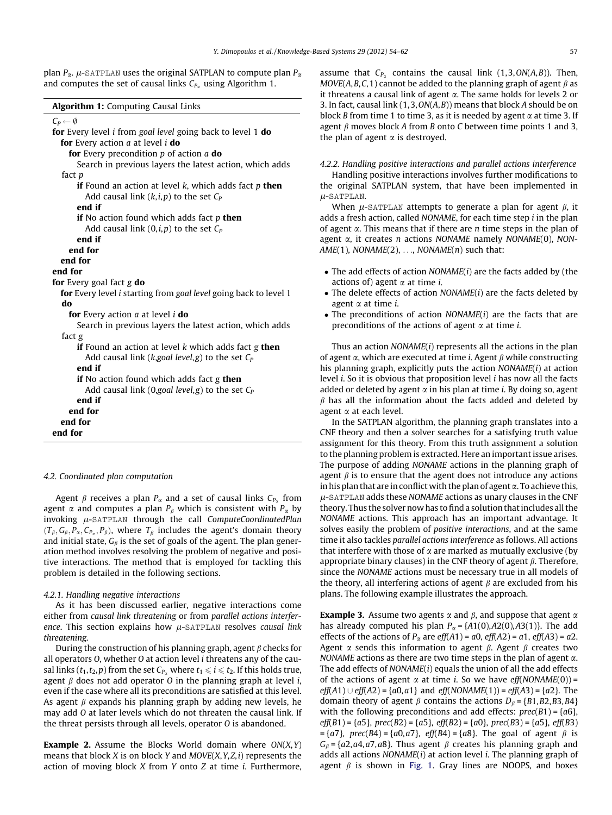plan  $P_{\alpha}$ .  $\mu$ -SATPLAN uses the original SATPLAN to compute plan  $P_{\alpha}$ and computes the set of causal links  $C_{P_{\alpha}}$  using Algorithm 1.

| <b>Algorithm 1: Computing Causal Links</b>                                     |
|--------------------------------------------------------------------------------|
| $C_P \leftarrow \emptyset$                                                     |
| for Every level i from goal level going back to level 1 do                     |
| for Every action a at level i do                                               |
| <b>for</b> Every precondition $p$ of action $q$ <b>do</b>                      |
| Search in previous layers the latest action, which adds                        |
| fact p                                                                         |
| <b>if</b> Found an action at level $k$ , which adds fact $p$ <b>then</b>       |
| Add causal link $(k, i, p)$ to the set $C_p$                                   |
| end if                                                                         |
| <b>if</b> No action found which adds fact p <b>then</b>                        |
| Add causal link $(0,i,p)$ to the set $C_p$                                     |
| end if                                                                         |
| end for                                                                        |
| end for                                                                        |
| end for                                                                        |
| for Every goal fact g do                                                       |
| <b>for</b> Every level <i>i</i> starting from goal level going back to level 1 |
| do                                                                             |
| <b>for</b> Every action <i>a</i> at level <i>i</i> <b>do</b>                   |
| Search in previous layers the latest action, which adds                        |
| fact g                                                                         |
| <b>if</b> Found an action at level k which adds fact g <b>then</b>             |
| Add causal link (k,goal level, g) to the set $C_P$                             |
| end if                                                                         |
| <b>if</b> No action found which adds fact g <b>then</b>                        |
| Add causal link (0,goal level, g) to the set $C_P$                             |
| end if                                                                         |
| end for<br>end for                                                             |
|                                                                                |
| end for                                                                        |
|                                                                                |

#### 4.2. Coordinated plan computation

Agent  $\beta$  receives a plan  $P_\alpha$  and a set of causal links  $C_{P_\alpha}$  from agent  $\alpha$  and computes a plan  $P_\beta$  which is consistent with  $P_\alpha$  by invoking  $\mu$ -SATPLAN through the call ComputeCoordinatedPlan  $(T_\beta, G_\beta, P_\alpha, C_{P_\alpha}, P_\beta)$ , where  $T_\beta$  includes the agent's domain theory and initial state,  $G_\beta$  is the set of goals of the agent. The plan generation method involves resolving the problem of negative and positive interactions. The method that is employed for tackling this problem is detailed in the following sections.

### 4.2.1. Handling negative interactions

As it has been discussed earlier, negative interactions come either from causal link threatening or from parallel actions interference. This section explains how  $\mu$ -SATPLAN resolves causal link threatening.

During the construction of his planning graph, agent  $\beta$  checks for all operators O, whether O at action level i threatens any of the causal links ( $t_1, t_2, p$ ) from the set  $C_{P_\alpha}$  where  $t_1 \leq i \leq t_2$ . If this holds true, agent  $\beta$  does not add operator O in the planning graph at level i, even if the case where all its preconditions are satisfied at this level. As agent  $\beta$  expands his planning graph by adding new levels, he may add O at later levels which do not threaten the causal link. If the threat persists through all levels, operator O is abandoned.

**Example 2.** Assume the Blocks World domain where  $ON(X, Y)$ means that block  $X$  is on block  $Y$  and  $MOVE(X, Y, Z, i)$  represents the action of moving block X from Y onto Z at time i. Furthermore, assume that  $C_{P_a}$  contains the causal link (1,3,0N(A,B)). Then,  $MOVE(A, B, C, 1)$  cannot be added to the planning graph of agent  $\beta$  as it threatens a causal link of agent  $\alpha$ . The same holds for levels 2 or 3. In fact, causal link  $(1,3,ON(A,B))$  means that block A should be on block B from time 1 to time 3, as it is needed by agent  $\alpha$  at time 3. If agent  $\beta$  moves block A from B onto C between time points 1 and 3, the plan of agent  $\alpha$  is destroyed.

#### 4.2.2. Handling positive interactions and parallel actions interference

Handling positive interactions involves further modifications to the original SATPLAN system, that have been implemented in  $\mu$ -SATPLAN.

When  $\mu$ -SATPLAN attempts to generate a plan for agent  $\beta$ , it adds a fresh action, called NONAME, for each time step  $i$  in the plan of agent  $\alpha$ . This means that if there are *n* time steps in the plan of agent  $\alpha$ , it creates *n* actions NONAME namely NONAME(0), NON- $AME(1)$ , NONAME $(2)$ , ..., NONAME $(n)$  such that:

- The add effects of action  $NONAME(i)$  are the facts added by (the actions of) agent  $\alpha$  at time *i*.
- The delete effects of action  $NONAME(i)$  are the facts deleted by agent  $\alpha$  at time *i*.
- The preconditions of action  $NONAME(i)$  are the facts that are preconditions of the actions of agent  $\alpha$  at time *i*.

Thus an action  $NONAME(i)$  represents all the actions in the plan of agent  $\alpha$ , which are executed at time *i*. Agent  $\beta$  while constructing his planning graph, explicitly puts the action  $NONAME(i)$  at action level i. So it is obvious that proposition level i has now all the facts added or deleted by agent  $\alpha$  in his plan at time *i*. By doing so, agent  $\beta$  has all the information about the facts added and deleted by agent  $\alpha$  at each level.

In the SATPLAN algorithm, the planning graph translates into a CNF theory and then a solver searches for a satisfying truth value assignment for this theory. From this truth assignment a solution to the planning problem is extracted. Here an important issue arises. The purpose of adding NONAME actions in the planning graph of agent  $\beta$  is to ensure that the agent does not introduce any actions in his plan that are in conflict with the plan of agent  $\alpha$ . To achieve this,  $\mu$ -SATPLAN adds these NONAME actions as unary clauses in the CNF theory. Thus the solver now has to find a solution that includes all the NONAME actions. This approach has an important advantage. It solves easily the problem of positive interactions, and at the same time it also tackles parallel actions interference as follows. All actions that interfere with those of  $\alpha$  are marked as mutually exclusive (by appropriate binary clauses) in the CNF theory of agent  $\beta$ . Therefore, since the NONAME actions must be necessary true in all models of the theory, all interfering actions of agent  $\beta$  are excluded from his plans. The following example illustrates the approach.

**Example 3.** Assume two agents  $\alpha$  and  $\beta$ , and suppose that agent  $\alpha$ has already computed his plan  $P_{\alpha} = \{A1(0), A2(0), A3(1)\}\)$ . The add effects of the actions of  $P_\alpha$  are  $eff(A1) = a0$ ,  $eff(A2) = a1$ ,  $eff(A3) = a2$ . Agent  $\alpha$  sends this information to agent  $\beta$ . Agent  $\beta$  creates two NONAME actions as there are two time steps in the plan of agent  $\alpha$ . The add effects of NONAME(i) equals the union of all the add effects of the actions of agent  $\alpha$  at time *i*. So we have *eff*(*NONAME*(0)) =  $eff(A1) \cup eff(A2) = {a0,a1}$  and  $eff(NONAME(1)) = eff(A3) = {a2}$ . The domain theory of agent  $\beta$  contains the actions  $D_\beta = \{B1, B2, B3, B4\}$ with the following preconditions and add effects:  $prec(B1) = \{a6\}$ ,  $eff(B1) = {a5}$ ,  $prec(B2) = {a5}$ ,  $eff(B2) = {a0}$ ,  $prec(B3) = {a5}$ ,  $eff(B3)$ =  ${a7}$ ,  $prec(B4)$  =  ${a0, a7}$ ,  $eff(B4)$  =  ${a8}$ . The goal of agent  $\beta$  is  $G_{\beta} = \{a2, a4, a7, a8\}$ . Thus agent  $\beta$  creates his planning graph and adds all actions  $NONAME(i)$  at action level *i*. The planning graph of agent  $\beta$  is shown in [Fig. 1](#page-4-0). Gray lines are NOOPS, and boxes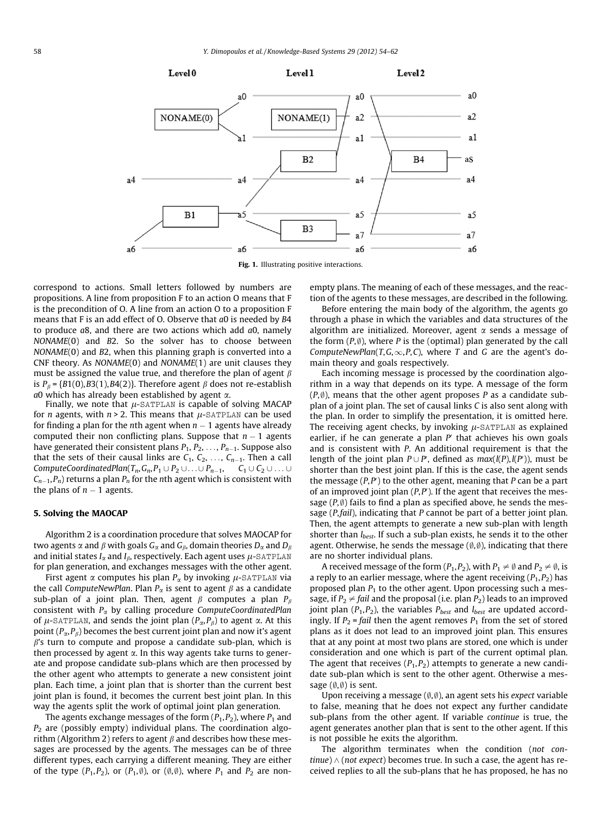<span id="page-4-0"></span>

Fig. 1. Illustrating positive interactions.

correspond to actions. Small letters followed by numbers are propositions. A line from proposition F to an action O means that F is the precondition of O. A line from an action O to a proposition F means that F is an add effect of O. Observe that a0 is needed by B4 to produce  $a8$ , and there are two actions which add  $a0$ , namely NONAME(0) and B2. So the solver has to choose between NONAME(0) and B2, when this planning graph is converted into a CNF theory. As NONAME(0) and NONAME(1) are unit clauses they must be assigned the value true, and therefore the plan of agent  $\beta$ is  $P_\beta$  = {B1(0),B3(1),B4(2)}. Therefore agent  $\beta$  does not re-establish a0 which has already been established by agent  $\alpha$ .

Finally, we note that  $\mu$ -SATPLAN is capable of solving MACAP for *n* agents, with  $n > 2$ . This means that  $\mu$ -SATPLAN can be used for finding a plan for the nth agent when  $n - 1$  agents have already computed their non conflicting plans. Suppose that  $n - 1$  agents have generated their consistent plans  $P_1, P_2, \ldots, P_{n-1}$ . Suppose also that the sets of their causal links are  $C_1, C_2, \ldots, C_{n-1}$ . Then a call ComputeCoordinatedPlan( $T_n, G_n, P_1 \cup P_2 \cup \ldots \cup P_{n-1}$ ,  $C_1 \cup C_2 \cup \ldots \cup$  $C_{n-1},P_n$ ) returns a plan  $P_n$  for the nth agent which is consistent with the plans of  $n - 1$  agents.

## 5. Solving the MAOCAP

Algorithm 2 is a coordination procedure that solves MAOCAP for two agents  $\alpha$  and  $\beta$  with goals  $G_{\alpha}$  and  $G_{\beta}$ , domain theories  $D_{\alpha}$  and  $D_{\beta}$ and initial states  $I_{\alpha}$  and  $I_{\beta}$ , respectively. Each agent uses  $\mu$ -SATPLAN for plan generation, and exchanges messages with the other agent.

First agent  $\alpha$  computes his plan  $P_{\alpha}$  by invoking  $\mu$ -SATPLAN via the call ComputeNewPlan. Plan  $P_{\alpha}$  is sent to agent  $\beta$  as a candidate sub-plan of a joint plan. Then, agent  $\beta$  computes a plan  $P_{\beta}$ consistent with  $P_\alpha$  by calling procedure ComputeCoordinatedPlan of  $\mu$ -SATPLAN, and sends the joint plan ( $P_{\alpha}P_{\beta}$ ) to agent  $\alpha$ . At this point  $(P_{\alpha}, P_{\beta})$  becomes the best current joint plan and now it's agent  $\beta$ 's turn to compute and propose a candidate sub-plan, which is then processed by agent  $\alpha$ . In this way agents take turns to generate and propose candidate sub-plans which are then processed by the other agent who attempts to generate a new consistent joint plan. Each time, a joint plan that is shorter than the current best joint plan is found, it becomes the current best joint plan. In this way the agents split the work of optimal joint plan generation.

The agents exchange messages of the form  $(P_1, P_2)$ , where  $P_1$  and  $P_2$  are (possibly empty) individual plans. The coordination algorithm (Algorithm 2) refers to agent  $\beta$  and describes how these messages are processed by the agents. The messages can be of three different types, each carrying a different meaning. They are either of the type  $(P_1, P_2)$ , or  $(P_1, \emptyset)$ , or  $(\emptyset, \emptyset)$ , where  $P_1$  and  $P_2$  are nonempty plans. The meaning of each of these messages, and the reaction of the agents to these messages, are described in the following.

Before entering the main body of the algorithm, the agents go through a phase in which the variables and data structures of the algorithm are initialized. Moreover, agent  $\alpha$  sends a message of the form  $(P,\emptyset)$ , where P is the (optimal) plan generated by the call ComputeNewPlan(T, G,  $\infty$ , P, C), where T and G are the agent's domain theory and goals respectively.

Each incoming message is processed by the coordination algorithm in a way that depends on its type. A message of the form  $(P, \emptyset)$ , means that the other agent proposes P as a candidate subplan of a joint plan. The set of causal links C is also sent along with the plan. In order to simplify the presentation, it is omitted here. The receiving agent checks, by invoking  $\mu$ -SATPLAN as explained earlier, if he can generate a plan  $P'$  that achieves his own goals and is consistent with P. An additional requirement is that the length of the joint plan  $P \cup P$ , defined as  $max(l(P), l(P))$ , must be shorter than the best joint plan. If this is the case, the agent sends the message  $(P, P)$  to the other agent, meaning that P can be a part of an improved joint plan  $(P, P)$ . If the agent that receives the message  $(P,\emptyset)$  fails to find a plan as specified above, he sends the message  $(P, fail)$ , indicating that P cannot be part of a better joint plan. Then, the agent attempts to generate a new sub-plan with length shorter than  $l_{best}$ . If such a sub-plan exists, he sends it to the other agent. Otherwise, he sends the message  $(\emptyset, \emptyset)$ , indicating that there are no shorter individual plans.

A received message of the form  $(P_1, P_2)$ , with  $P_1 \neq \emptyset$  and  $P_2 \neq \emptyset$ , is a reply to an earlier message, where the agent receiving  $(P_1, P_2)$  has proposed plan  $P_1$  to the other agent. Upon processing such a message, if  $P_2 \neq \text{fail}$  and the proposal (i.e. plan  $P_2$ ) leads to an improved joint plan  $(P_1, P_2)$ , the variables  $P_{best}$  and  $I_{best}$  are updated accordingly. If  $P_2 = \text{fail}$  then the agent removes  $P_1$  from the set of stored plans as it does not lead to an improved joint plan. This ensures that at any point at most two plans are stored, one which is under consideration and one which is part of the current optimal plan. The agent that receives  $(P_1, P_2)$  attempts to generate a new candidate sub-plan which is sent to the other agent. Otherwise a message  $(\emptyset, \emptyset)$  is sent.

Upon receiving a message  $(\emptyset, \emptyset)$ , an agent sets his *expect* variable to false, meaning that he does not expect any further candidate sub-plans from the other agent. If variable continue is true, the agent generates another plan that is sent to the other agent. If this is not possible he exits the algorithm.

The algorithm terminates when the condition (not continue)  $\wedge$  (not expect) becomes true. In such a case, the agent has received replies to all the sub-plans that he has proposed, he has no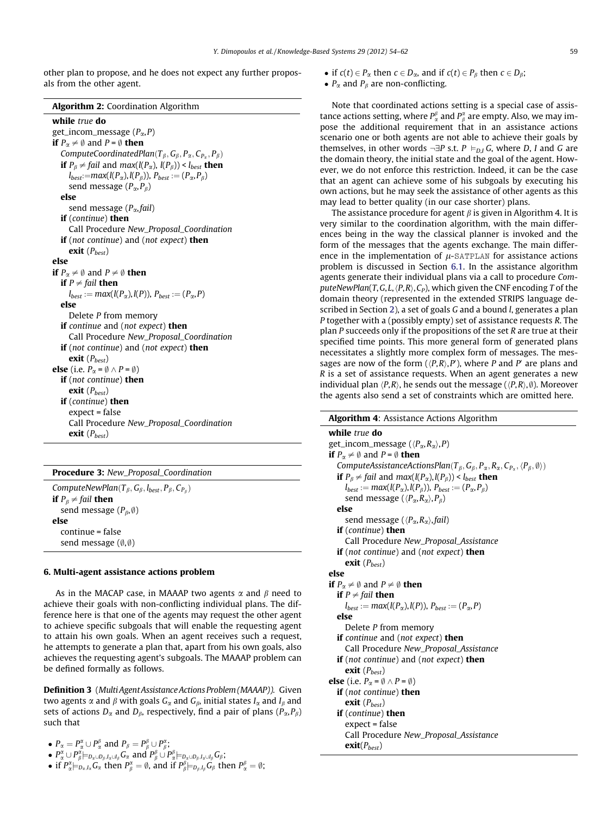<span id="page-5-0"></span>other plan to propose, and he does not expect any further proposals from the other agent.

| <b>Algorithm 2:</b> Coordination Algorithm                                                                              |
|-------------------------------------------------------------------------------------------------------------------------|
| while true do                                                                                                           |
| get_incom_message $(P_\alpha, P)$                                                                                       |
| <b>if</b> $P_{\alpha} \neq \emptyset$ and $P = \emptyset$ <b>then</b>                                                   |
| ComputeCoordinatedPlan(T <sub>B</sub> , G <sub>B</sub> , P <sub>α</sub> , C <sub>P<sub>α</sub></sub> , P <sub>B</sub> ) |
| <b>if</b> $P_\beta \neq \text{fail}$ and $max(l(P_\alpha), l(P_\beta)) < l_{best}$ <b>then</b>                          |
| $l_{best}$ := $max(l(P_{\alpha}), l(P_{\beta}))$ , $P_{best}$ := $(P_{\alpha}, P_{\beta})$                              |
| send message $(P_\alpha, P_\beta)$                                                                                      |
| else                                                                                                                    |
| send message ( $P_{\alpha}$ , fail)                                                                                     |
| <b>if</b> (continue) <b>then</b>                                                                                        |
| Call Procedure New_Proposal_Coordination                                                                                |
| <b>if</b> (not continue) and (not expect) <b>then</b>                                                                   |
| exit $(P_{host})$                                                                                                       |
| else                                                                                                                    |
| <b>if</b> $P_\alpha \neq \emptyset$ and $P \neq \emptyset$ <b>then</b><br><b>if</b> $P \neq \text{fail}$ then           |
| $l_{best} := max(l(P_\alpha), l(P)), P_{best} := (P_\alpha, P)$                                                         |
| else                                                                                                                    |
| Delete P from memory                                                                                                    |
| <b>if</b> continue and (not expect) <b>then</b>                                                                         |
| Call Procedure New_Proposal_Coordination                                                                                |
| <b>if</b> (not continue) and (not expect) <b>then</b>                                                                   |
| exit $(P_{best})$                                                                                                       |
| <b>else</b> (i.e. $P_{\alpha} = \emptyset \land P = \emptyset$ )                                                        |
| <b>if</b> (not continue) <b>then</b>                                                                                    |
| exit $(P_{best})$                                                                                                       |
| <b>if</b> (continue) <b>then</b>                                                                                        |
| expect = false                                                                                                          |
| Call Procedure New_Proposal_Coordination                                                                                |
| exit $(P_{best})$                                                                                                       |

Procedure 3: New\_Proposal\_Coordination

ComputeNewPlan( $T_\beta, G_\beta, l_{best}, P_\beta, C_{P_\beta}$ ) if  $P_{\beta} \neq \text{fail}$  then send message ( $P_6, \emptyset$ ) else continue = false send message  $(\emptyset,\emptyset)$ 

## 6. Multi-agent assistance actions problem

As in the MACAP case, in MAAAP two agents  $\alpha$  and  $\beta$  need to achieve their goals with non-conflicting individual plans. The difference here is that one of the agents may request the other agent to achieve specific subgoals that will enable the requesting agent to attain his own goals. When an agent receives such a request, he attempts to generate a plan that, apart from his own goals, also achieves the requesting agent's subgoals. The MAAAP problem can be defined formally as follows.

Definition 3 (Multi Agent Assistance Actions Problem (MAAAP)). Given two agents  $\alpha$  and  $\beta$  with goals  $G_{\alpha}$  and  $G_{\beta}$ , initial states  $I_{\alpha}$  and  $I_{\beta}$  and sets of actions  $D_{\alpha}$  and  $D_{\beta}$ , respectively, find a pair of plans ( $P_{\alpha}, P_{\beta}$ ) such that

- $P_{\alpha} = P_{\alpha}^{\alpha} \cup P_{\alpha}^{\beta}$  and  $P_{\beta} = P_{\beta}^{\beta} \cup P_{\beta}^{\alpha}$ ;
- $P^{\alpha}_{\alpha} \cup P^{\alpha}_{\beta} \models_{D_{\alpha} \cup D_{\beta}, I_{\alpha} \cup I_{\beta}} G_{\alpha}$  and  $P^{\beta}_{\beta} \cup P^{\beta}_{\alpha} \models_{D_{\alpha} \cup D_{\beta}, I_{\alpha} \cup I_{\beta}} G_{\beta}$ ;
- if  $P^{\alpha}_{\alpha} \models_{D_{\alpha},I_{\alpha}} G_{\alpha}$  then  $P^{\alpha}_{\beta} = \emptyset$ , and if  $P^{\beta}_{\beta} \models_{D_{\beta},I_{\beta}} G_{\beta}$  then  $P^{\beta}_{\alpha} = \emptyset$ ;
- if  $c(t) \in P_\alpha$  then  $c \in D_\alpha$ , and if  $c(t) \in P_\beta$  then  $c \in D_\beta$ ;
- $P_{\alpha}$  and  $P_{\beta}$  are non-conflicting.

Note that coordinated actions setting is a special case of assistance actions setting, where  $P^{\beta}_{\alpha}$  and  $P^{\alpha}_{\beta}$  are empty. Also, we may impose the additional requirement that in an assistance actions scenario one or both agents are not able to achieve their goals by themselves, in other words  $\neg \exists P \text{ s.t. } P \models_{D,I} G$ , where D, I and G are the domain theory, the initial state and the goal of the agent. However, we do not enforce this restriction. Indeed, it can be the case that an agent can achieve some of his subgoals by executing his own actions, but he may seek the assistance of other agents as this may lead to better quality (in our case shorter) plans.

The assistance procedure for agent  $\beta$  is given in Algorithm 4. It is very similar to the coordination algorithm, with the main differences being in the way the classical planner is invoked and the form of the messages that the agents exchange. The main difference in the implementation of  $\mu$ -SATPLAN for assistance actions problem is discussed in Section [6.1.](#page-6-0) In the assistance algorithm agents generate their individual plans via a call to procedure ComputeNewPlan(T,G,L, $\langle P, R \rangle$ , $C_p$ ), which given the CNF encoding T of the domain theory (represented in the extended STRIPS language described in Section [2](#page-1-0)), a set of goals G and a bound l, generates a plan P together with a (possibly empty) set of assistance requests R. The plan P succeeds only if the propositions of the set R are true at their specified time points. This more general form of generated plans necessitates a slightly more complex form of messages. The messages are now of the form ( $\langle P,R\rangle, P'$ ), where P and P' are plans and R is a set of assistance requests. When an agent generates a new individual plan  $\langle P,R\rangle$ , he sends out the message  $(\langle P,R\rangle,\emptyset)$ . Moreover the agents also send a set of constraints which are omitted here.

## Algorithm 4: Assistance Actions Algorithm

while true do get\_incom\_message ( $\langle P_\alpha, R_\alpha \rangle, P$ ) **if**  $P_{\alpha} \neq \emptyset$  and  $P = \emptyset$  **then** ComputeAssistanceActionsPlan(T<sub> $\beta$ </sub>, G<sub> $\beta$ </sub>, P<sub> $\alpha$ </sub>, R<sub> $\alpha$ </sub>, C<sub>P<sub>a</sub>, \</sub>P<sub> $\beta$ </sub>, \th; ) **if**  $P_\beta \neq \text{fail}$  and  $max(l(P_\alpha), l(P_\beta)) < l_{best}$  **then**  $l_{best} := max(l(P_\alpha), l(P_\beta)), P_{best} := (P_\alpha, P_\beta)$ send message ( $\langle P_\alpha, R_\alpha \rangle, P_\beta$ ) else send message ( $\langle P_\alpha, R_\alpha \rangle$ , fail) if (continue) then Call Procedure New\_Proposal\_Assistance if (not continue) and (not expect) then  $ext(P_{best})$ else **if**  $P_{\alpha} \neq \emptyset$  and  $P \neq \emptyset$  **then** if  $P \neq \text{fail}$  then  $l_{best} := max(l(P_\alpha), l(P)), P_{best} := (P_\alpha, P)$ else Delete P from memory if continue and (not expect) then Call Procedure New\_Proposal\_Assistance if (not continue) and (not expect) then exit  $(P_{best})$ else (i.e.  $P_{\alpha} = \emptyset \wedge P = \emptyset$ ) if (not continue) then exit  $(P_{best})$ if (continue) then expect = false Call Procedure New\_Proposal\_Assistance  $exit(P_{best})$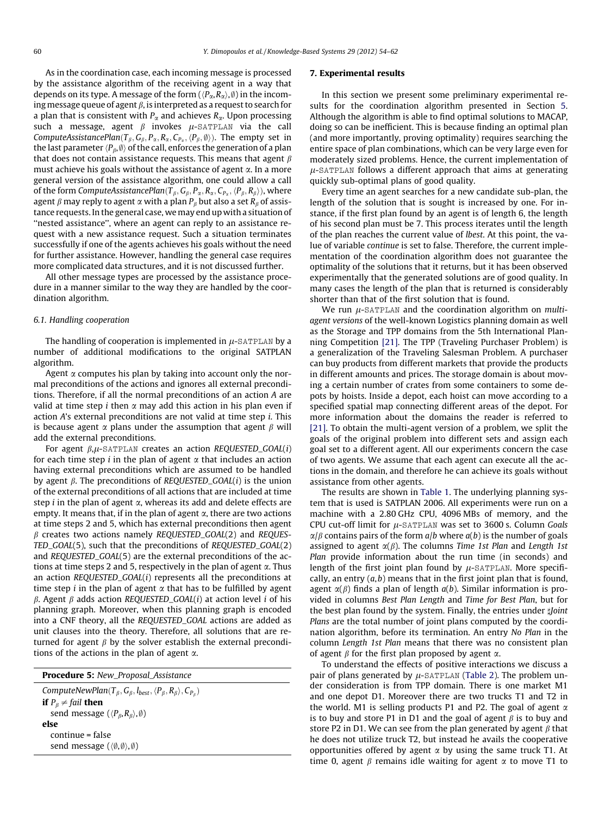<span id="page-6-0"></span>As in the coordination case, each incoming message is processed by the assistance algorithm of the receiving agent in a way that depends on its type. A message of the form ( $\langle P_{\alpha},R_{\alpha}\rangle,\emptyset$ ) in the incoming message queue of agent  $\beta$ , is interpreted as a request to search for a plan that is consistent with  $P_\alpha$  and achieves  $R_\alpha$ . Upon processing such a message, agent  $\beta$  invokes  $\mu$ -SATPLAN via the call ComputeAssistancePlan(T<sub> $\beta$ </sub>, G<sub> $\beta$ </sub>, P<sub>a</sub>, R<sub>a</sub>, C<sub>P<sub>a</sub></sub>,  $\langle P_\beta, \emptyset \rangle$ ). The empty set in the last parameter  $\langle P_\beta, \emptyset \rangle$  of the call, enforces the generation of a plan that does not contain assistance requests. This means that agent  $\beta$ must achieve his goals without the assistance of agent  $\alpha$ . In a more general version of the assistance algorithm, one could allow a call of the form ComputeAssistancePlan( $T_\beta$ ,  $G_\beta$ ,  $P_\alpha$ ,  $R_\alpha$ ,  $C_{P_\alpha}$ ,  $\langle P_\beta, R_\beta \rangle$ ), where agent  $\beta$  may reply to agent  $\alpha$  with a plan  $P_\beta$  but also a set  $R_\beta$  of assistance requests. In the general case, we may end up with a situation of ''nested assistance'', where an agent can reply to an assistance request with a new assistance request. Such a situation terminates successfully if one of the agents achieves his goals without the need for further assistance. However, handling the general case requires more complicated data structures, and it is not discussed further.

All other message types are processed by the assistance procedure in a manner similar to the way they are handled by the coordination algorithm.

#### 6.1. Handling cooperation

The handling of cooperation is implemented in  $\mu$ -SATPLAN by a number of additional modifications to the original SATPLAN algorithm.

Agent  $\alpha$  computes his plan by taking into account only the normal preconditions of the actions and ignores all external preconditions. Therefore, if all the normal preconditions of an action A are valid at time step *i* then  $\alpha$  may add this action in his plan even if action A's external preconditions are not valid at time step i. This is because agent  $\alpha$  plans under the assumption that agent  $\beta$  will add the external preconditions.

For agent  $\beta$ , $\mu$ -SATPLAN creates an action REQUESTED\_GOAL(i) for each time step *i* in the plan of agent  $\alpha$  that includes an action having external preconditions which are assumed to be handled by agent  $\beta$ . The preconditions of REQUESTED\_GOAL(i) is the union of the external preconditions of all actions that are included at time step *i* in the plan of agent  $\alpha$ , whereas its add and delete effects are empty. It means that, if in the plan of agent  $\alpha$ , there are two actions at time steps 2 and 5, which has external preconditions then agent  $\beta$  creates two actions namely REQUESTED\_GOAL(2) and REQUES-TED\_GOAL(5), such that the preconditions of REQUESTED\_GOAL(2) and REQUESTED\_GOAL(5) are the external preconditions of the actions at time steps 2 and 5, respectively in the plan of agent  $\alpha$ . Thus an action REQUESTED\_GOAL(i) represents all the preconditions at time step *i* in the plan of agent  $\alpha$  that has to be fulfilled by agent  $\beta$ . Agent  $\beta$  adds action REQUESTED\_GOAL(i) at action level i of his planning graph. Moreover, when this planning graph is encoded into a CNF theory, all the REQUESTED\_GOAL actions are added as unit clauses into the theory. Therefore, all solutions that are returned for agent  $\beta$  by the solver establish the external preconditions of the actions in the plan of agent  $\alpha$ .

|  |  |  |  | <b>Procedure 5: New_Proposal_Assistance</b> |
|--|--|--|--|---------------------------------------------|
|--|--|--|--|---------------------------------------------|

```
ComputeNewPlan(T<sub>\beta</sub>, G<sub>\beta</sub>, l<sub>best</sub>, \langle P_{\beta}, R_{\beta} \rangle, C<sub>P<sub>b</sub></sub>)
if P_{\beta} \neq \text{fail} then
     send message (\langle P_\beta, R_\beta \rangle, \emptyset)
else
     continue = false
     send message (\langle \emptyset, \emptyset \rangle, \emptyset)
```
#### 7. Experimental results

In this section we present some preliminary experimental results for the coordination algorithm presented in Section [5.](#page-4-0) Although the algorithm is able to find optimal solutions to MACAP, doing so can be inefficient. This is because finding an optimal plan (and more importantly, proving optimality) requires searching the entire space of plan combinations, which can be very large even for moderately sized problems. Hence, the current implementation of  $\mu$ -SATPLAN follows a different approach that aims at generating quickly sub-optimal plans of good quality.

Every time an agent searches for a new candidate sub-plan, the length of the solution that is sought is increased by one. For instance, if the first plan found by an agent is of length 6, the length of his second plan must be 7. This process iterates until the length of the plan reaches the current value of lbest. At this point, the value of variable continue is set to false. Therefore, the current implementation of the coordination algorithm does not guarantee the optimality of the solutions that it returns, but it has been observed experimentally that the generated solutions are of good quality. In many cases the length of the plan that is returned is considerably shorter than that of the first solution that is found.

We run  $u$ -SATPLAN and the coordination algorithm on *multi*agent versions of the well-known Logistics planning domain as well as the Storage and TPP domains from the 5th International Planning Competition [\[21\]](#page-8-0). The TPP (Traveling Purchaser Problem) is a generalization of the Traveling Salesman Problem. A purchaser can buy products from different markets that provide the products in different amounts and prices. The storage domain is about moving a certain number of crates from some containers to some depots by hoists. Inside a depot, each hoist can move according to a specified spatial map connecting different areas of the depot. For more information about the domains the reader is referred to [\[21\]](#page-8-0). To obtain the multi-agent version of a problem, we split the goals of the original problem into different sets and assign each goal set to a different agent. All our experiments concern the case of two agents. We assume that each agent can execute all the actions in the domain, and therefore he can achieve its goals without assistance from other agents.

The results are shown in Table 1. The underlying planning system that is used is SATPLAN 2006. All experiments were run on a machine with a 2.80 GHz CPU, 4096 MBs of memory, and the CPU cut-off limit for  $\mu$ -SATPLAN was set to 3600 s. Column Goals  $\alpha/\beta$  contains pairs of the form  $a/b$  where  $a(b)$  is the number of goals assigned to agent  $\alpha(\beta)$ . The columns Time 1st Plan and Length 1st Plan provide information about the run time (in seconds) and length of the first joint plan found by  $\mu$ -SATPLAN. More specifically, an entry  $(a,b)$  means that in the first joint plan that is found, agent  $\alpha(\beta)$  finds a plan of length  $a(b)$ . Similar information is provided in columns Best Plan Length and Time for Best Plan, but for the best plan found by the system. Finally, the entries under  $\sharp$ Joint Plans are the total number of joint plans computed by the coordination algorithm, before its termination. An entry No Plan in the column Length 1st Plan means that there was no consistent plan of agent  $\beta$  for the first plan proposed by agent  $\alpha$ .

To understand the effects of positive interactions we discuss a pair of plans generated by  $\mu$ -SATPLAN (Table 2). The problem under consideration is from TPP domain. There is one market M1 and one depot D1. Moreover there are two trucks T1 and T2 in the world. M1 is selling products P1 and P2. The goal of agent  $\alpha$ is to buy and store P1 in D1 and the goal of agent  $\beta$  is to buy and store P2 in D1. We can see from the plan generated by agent  $\beta$  that he does not utilize truck T2, but instead he avails the cooperative opportunities offered by agent  $\alpha$  by using the same truck T1. At time 0, agent  $\beta$  remains idle waiting for agent  $\alpha$  to move T1 to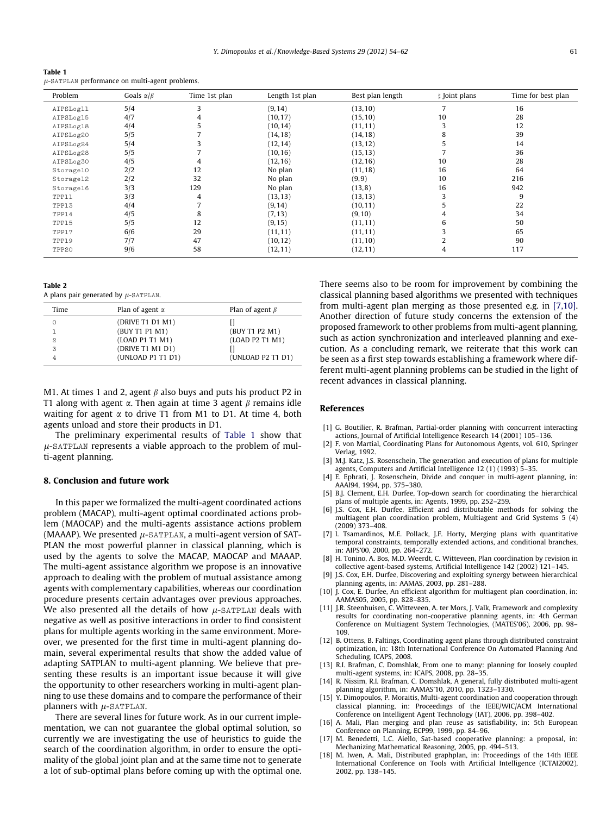<span id="page-7-0"></span>

| Table 1 |                                                     |  |
|---------|-----------------------------------------------------|--|
|         | $\mu$ -SATPLAN performance on multi-agent problems. |  |

| Problem   | Goals $\alpha/\beta$ | Time 1st plan | Length 1st plan | Best plan length | d Joint plans | Time for best plan |
|-----------|----------------------|---------------|-----------------|------------------|---------------|--------------------|
| AIPSLogll | 5/4                  |               | (9, 14)         | (13, 10)         |               | 16                 |
| AIPSLog15 | 4/7                  |               | (10, 17)        | (15, 10)         | 10            | 28                 |
| AIPSLog18 | 4/4                  |               | (10, 14)        | (11, 11)         |               | 12                 |
| AIPSLog20 | 5/5                  |               | (14, 18)        | (14, 18)         |               | 39                 |
| AIPSLog24 | 5/4                  |               | (12, 14)        | (13, 12)         |               | 14                 |
| AIPSLog28 | 5/5                  |               | (10, 16)        | (15, 13)         |               | 36                 |
| AIPSLog30 | 4/5                  |               | (12, 16)        | (12, 16)         | 10            | 28                 |
| Storage10 | 2/2                  | 12            | No plan         | (11, 18)         | 16            | 64                 |
| Storage12 | 2/2                  | 32            | No plan         | (9, 9)           | 10            | 216                |
| Storage16 | 3/3                  | 129           | No plan         | (13, 8)          | 16            | 942                |
| TPP11     | 3/3                  | 4             | (13, 13)        | (13, 13)         |               | 9                  |
| TPP13     | 4/4                  |               | (9, 14)         | (10, 11)         |               | 22                 |
| TPP14     | 4/5                  | 8             | (7, 13)         | (9, 10)          |               | 34                 |
| TPP15     | 5/5                  | 12            | (9, 15)         | (11, 11)         | 6             | 50                 |
| TPP17     | 6/6                  | 29            | (11, 11)        | (11, 11)         |               | 65                 |
| TPP19     | 7/7                  | 47            | (10, 12)        | (11, 10)         |               | 90                 |
| TPP20     | 9/6                  | 58            | (12, 11)        | (12, 11)         | 4             | 117                |

Table 2 A plans pair generated by  $\mu$ -SATPLAN.

| Time | Plan of agent $\alpha$ | Plan of agent $\beta$ |
|------|------------------------|-----------------------|
|      | (DRIVE T1 D1 M1)       |                       |
|      | (BUY T1 P1 M1)         | (BUY T1 P2 M1)        |
| 2    | (LOAD P1 T1 M1)        | (LOAD P2 T1 M1)       |
| 3    | (DRIVE T1 M1 D1)       |                       |
|      | (UNLOAD P1 T1 D1)      | (UNLOAD P2 T1 D1)     |

M1. At times 1 and 2, agent  $\beta$  also buys and puts his product P2 in T1 along with agent  $\alpha$ . Then again at time 3 agent  $\beta$  remains idle waiting for agent  $\alpha$  to drive T1 from M1 to D1. At time 4, both agents unload and store their products in D1.

The preliminary experimental results of Table 1 show that  $\mu$ -SATPLAN represents a viable approach to the problem of multi-agent planning.

#### 8. Conclusion and future work

In this paper we formalized the multi-agent coordinated actions problem (MACAP), multi-agent optimal coordinated actions problem (MAOCAP) and the multi-agents assistance actions problem (MAAAP). We presented  $\mu$ -SATPLAN, a multi-agent version of SAT-PLAN the most powerful planner in classical planning, which is used by the agents to solve the MACAP, MAOCAP and MAAAP. The multi-agent assistance algorithm we propose is an innovative approach to dealing with the problem of mutual assistance among agents with complementary capabilities, whereas our coordination procedure presents certain advantages over previous approaches. We also presented all the details of how  $\mu$ -SATPLAN deals with negative as well as positive interactions in order to find consistent plans for multiple agents working in the same environment. Moreover, we presented for the first time in multi-agent planning domain, several experimental results that show the added value of adapting SATPLAN to multi-agent planning. We believe that presenting these results is an important issue because it will give the opportunity to other researchers working in multi-agent planning to use these domains and to compare the performance of their planners with  $\mu$ -SATPLAN.

There are several lines for future work. As in our current implementation, we can not guarantee the global optimal solution, so currently we are investigating the use of heuristics to guide the search of the coordination algorithm, in order to ensure the optimality of the global joint plan and at the same time not to generate a lot of sub-optimal plans before coming up with the optimal one. There seems also to be room for improvement by combining the classical planning based algorithms we presented with techniques from multi-agent plan merging as those presented e.g. in [7,10]. Another direction of future study concerns the extension of the proposed framework to other problems from multi-agent planning, such as action synchronization and interleaved planning and execution. As a concluding remark, we reiterate that this work can be seen as a first step towards establishing a framework where different multi-agent planning problems can be studied in the light of recent advances in classical planning.

#### References

- [1] G. Boutilier, R. Brafman, Partial-order planning with concurrent interacting actions, Journal of Artificial Intelligence Research 14 (2001) 105–136.
- [2] F. von Martial, Coordinating Plans for Autonomous Agents, vol. 610, Springer Verlag, 1992.
- [3] M.J. Katz, J.S. Rosenschein, The generation and execution of plans for multiple agents, Computers and Artificial Intelligence 12 (1) (1993) 5–35.
- [4] E. Ephrati, J. Rosenschein, Divide and conquer in multi-agent planning, in: AAAI94, 1994, pp. 375–380.
- [5] B.J. Clement, E.H. Durfee, Top-down search for coordinating the hierarchical plans of multiple agents, in: Agents, 1999, pp. 252–259.
- [6] J.S. Cox, E.H. Durfee, Efficient and distributable methods for solving the multiagent plan coordination problem, Multiagent and Grid Systems 5 (4) (2009) 373–408.
- [7] I. Tsamardinos, M.E. Pollack, J.F. Horty, Merging plans with quantitative temporal constraints, temporally extended actions, and conditional branches, in: AIPS'00, 2000, pp. 264–272.
- [8] H. Tonino, A. Bos, M.D. Weerdt, C. Witteveen, Plan coordination by revision in collective agent-based systems, Artificial Intelligence 142 (2002) 121–145.
- [9] J.S. Cox, E.H. Durfee, Discovering and exploiting synergy between hierarchical planning agents, in: AAMAS, 2003, pp. 281–288.
- [10] J. Cox, E. Durfee, An efficient algorithm for multiagent plan coordination, in: AAMAS05, 2005, pp. 828–835.
- J.R. Steenhuisen, C. Witteveen, A. ter Mors, J. Valk, Framework and complexity results for coordinating non-cooperative planning agents, in: 4th German Conference on Multiagent System Technologies, (MATES'06), 2006, pp. 98– 109.
- [12] B. Ottens, B. Faltings, Coordinating agent plans through distributed constraint optimization, in: 18th International Conference On Automated Planning And Scheduling, ICAPS, 2008.
- [13] R.I. Brafman, C. Domshlak, From one to many: planning for loosely coupled multi-agent systems, in: ICAPS, 2008, pp. 28–35.
- [14] R. Nissim, R.I. Brafman, C. Domshlak, A general, fully distributed multi-agent planning algorithm, in: AAMAS'10, 2010, pp. 1323–1330.
- [15] Y. Dimopoulos, P. Moraitis, Multi-agent coordination and cooperation through classical planning, in: Proceedings of the IEEE/WIC/ACM International Conference on Intelligent Agent Technology (IAT), 2006, pp. 398–402.
- [16] A. Mali, Plan merging and plan reuse as satisfiability, in: 5th European Conference on Planning, ECP99, 1999, pp. 84–96.
- M. Benedetti, L.C. Aiello, Sat-based cooperative planning: a proposal, in: Mechanizing Mathematical Reasoning, 2005, pp. 494–513.
- [18] M. Iwen, A. Mali, Distributed graphplan, in: Proceedings of the 14th IEEE International Conference on Tools with Artificial Intelligence (ICTAI2002), 2002, pp. 138–145.